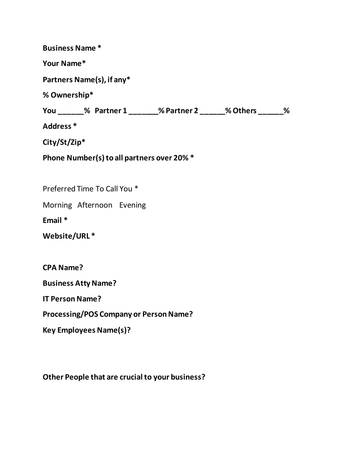| <b>Business Name*</b>                                        |
|--------------------------------------------------------------|
| Your Name*                                                   |
| Partners Name(s), if any*                                    |
| % Ownership*                                                 |
| You _____% Partner 1 ______% Partner 2 _____% Others ______% |
| Address <sup>*</sup>                                         |
| City/St/Zip*                                                 |
| Phone Number(s) to all partners over 20% *                   |
|                                                              |
| Preferred Time To Call You *                                 |
| Morning Afternoon Evening                                    |
| Email *                                                      |
| Website/URL*                                                 |
|                                                              |
| <b>CPA Name?</b>                                             |
| <b>Business Atty Name?</b>                                   |
| <b>IT Person Name?</b>                                       |
| Processing/POS Company or Person Name?                       |
| <b>Key Employees Name(s)?</b>                                |
|                                                              |

**Other People that are crucial to your business?**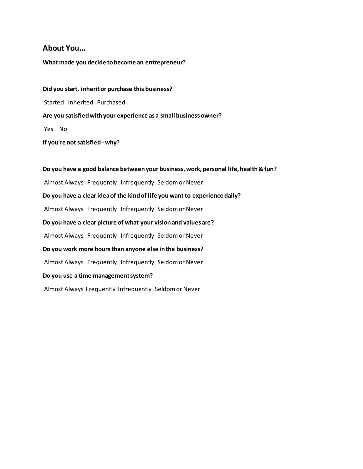### **About You...**

#### **What made you decide to become an entrepreneur?**

**Did you start, inherit or purchase this business?** Started Inherited Purchased **Are you satisfied with your experience as a small business owner?** Yes No **If you're not satisfied - why?**

**Do you have a good balance between your business, work, personal life, health & fun?** Almost Always Frequently Infrequently Seldom or Never **Do you have a clear idea of the kind of life you want to experience daily?** Almost Always Frequently Infrequently Seldom or Never **Do you have a clear picture of what your vision and values are?** Almost Always Frequently Infrequently Seldom or Never **Do you work more hours than anyone else in the business?** Almost Always Frequently Infrequently Seldom or Never **Do you use a time management system?** Almost Always Frequently Infrequently Seldom or Never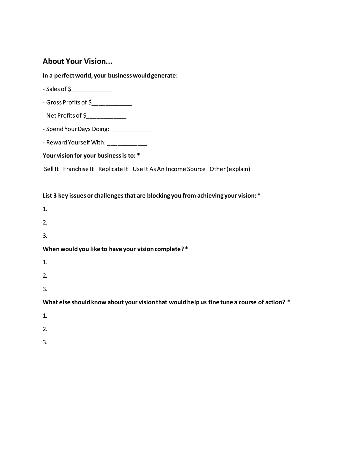### **About Your Vision...**

**In a perfect world, your business would generate:**

- Sales of \$\_\_\_\_\_\_\_\_\_\_\_\_\_\_
- Gross Profits of \$\_\_\_\_\_\_\_\_\_\_\_\_
- Net Profits of \$\_\_\_\_\_\_\_\_\_\_\_\_
- Spend Your Days Doing: \_\_\_\_\_\_\_\_\_\_\_\_\_
- Reward Yourself With: \_\_\_\_\_\_\_\_\_\_\_\_\_

#### **Your vision for your business is to: \***

Sell It Franchise It Replicate It Use It As An Income Source Other(explain)

#### **List 3 key issues or challenges that are blocking you from achieving your vision: \***

1.

- 2.
- 3.

#### **When would you like to have your vision complete? \***

- 1.
- 2.
- 
- 3.

**What else should know about your vision that would help us fine tune a course of action?** \*

- 1.
- 
- 2.
- 3.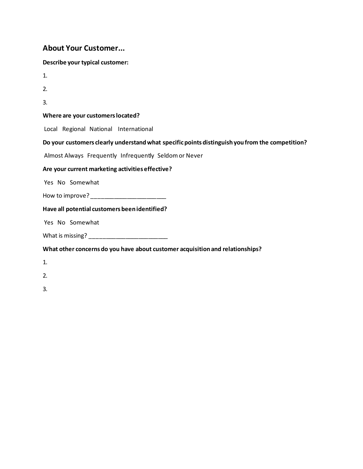# **About Your Customer...**

| Describe your typical customer:                                                                 |
|-------------------------------------------------------------------------------------------------|
| 1.                                                                                              |
| 2.                                                                                              |
| 3.                                                                                              |
| Where are your customers located?                                                               |
| Local Regional National International                                                           |
| Do your customers clearly understand what specific points distinguish you from the competition? |
| Almost Always Frequently Infrequently Seldom or Never                                           |
| Are your current marketing activities effective?                                                |
| Yes No Somewhat                                                                                 |
| How to improve? _________________________                                                       |
| Have all potential customers been identified?                                                   |
| Yes No Somewhat                                                                                 |
|                                                                                                 |
| What other concerns do you have about customer acquisition and relationships?                   |
| 1.                                                                                              |
| 2.                                                                                              |
| 3.                                                                                              |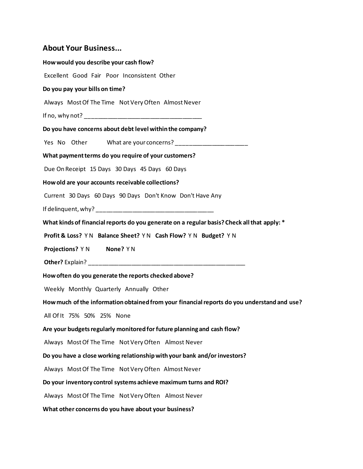## **About Your Business...**

| How would you describe your cash flow?                                                      |
|---------------------------------------------------------------------------------------------|
| Excellent Good Fair Poor Inconsistent Other                                                 |
| Do you pay your bills on time?                                                              |
| Always Most Of The Time Not Very Often Almost Never                                         |
|                                                                                             |
| Do you have concerns about debt level within the company?                                   |
| Yes No Other What are your concerns? _______________________                                |
| What payment terms do you require of your customers?                                        |
| Due On Receipt 15 Days 30 Days 45 Days 60 Days                                              |
| How old are your accounts receivable collections?                                           |
| Current 30 Days 60 Days 90 Days Don't Know Don't Have Any                                   |
|                                                                                             |
| What kinds of financial reports do you generate on a regular basis? Check all that apply: * |
| Profit & Loss? YN Balance Sheet? YN Cash Flow? YN Budget? YN                                |
| Projections? Y N None? Y N                                                                  |
|                                                                                             |
|                                                                                             |
| How often do you generate the reports checked above?                                        |
| Weekly Monthly Quarterly Annually Other                                                     |
| How much of the information obtained from your financial reports do you understand and use? |
| All Of It 75% 50% 25% None                                                                  |
| Are your budgets regularly monitored for future planning and cash flow?                     |
| Always Most Of The Time Not Very Often Almost Never                                         |
| Do you have a close working relationship with your bank and/or investors?                   |
| Always Most Of The Time Not Very Often Almost Never                                         |
| Do your inventory control systems achieve maximum turns and ROI?                            |
| Always Most Of The Time Not Very Often Almost Never                                         |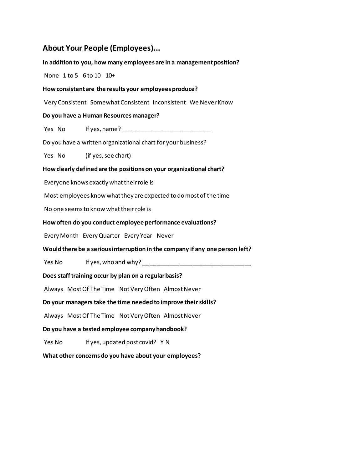## **About Your People (Employees)...**

**In addition to you, how many employees are in a management position?** None 1 to 5 6 to 10 10+ **How consistent are the results your employees produce?** Very Consistent Somewhat Consistent Inconsistent We Never Know **Do you have a Human Resources manager?** Yes No If yes, name? Do you have a written organizational chart for your business? Yes No (if yes, see chart) **How clearly defined are the positions on your organizational chart?** Everyone knows exactly what their role is Most employees know what they are expected to do most of the time No one seems to know what their role is **How often do you conduct employee performance evaluations?** Every Month Every Quarter Every Year Never **Would there be a serious interruption in the company if any one person left?** Yes No If yes, who and why? \_\_\_\_\_\_\_\_\_\_\_\_\_\_\_\_\_\_\_\_\_\_\_\_\_\_\_\_\_\_\_\_\_ **Does staff training occur by plan on a regular basis?** Always Most Of The Time Not Very Often Almost Never **Do your managers take the time needed to improve their skills?** Always Most Of The Time Not Very Often Almost Never **Do you have a tested employee companyhandbook?** Yes No If yes, updated post covid? Y N **What other concerns do you have about your employees?**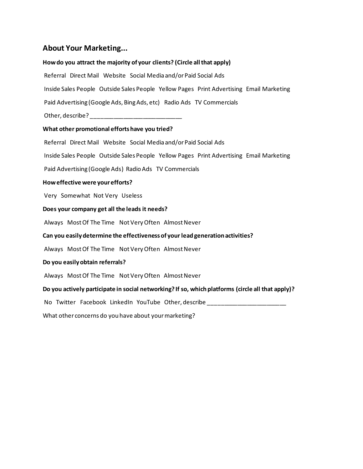# **About Your Marketing...**

### **How do you attract the majority of your clients? (Circle all that apply)**

| Referral Direct Mail Website Social Media and/or Paid Social Ads                                  |
|---------------------------------------------------------------------------------------------------|
| Inside Sales People Outside Sales People Yellow Pages Print Advertising Email Marketing           |
| Paid Advertising (Google Ads, Bing Ads, etc) Radio Ads TV Commercials                             |
|                                                                                                   |
| What other promotional efforts have you tried?                                                    |
| Referral Direct Mail Website Social Media and/or Paid Social Ads                                  |
| Inside Sales People Outside Sales People Yellow Pages Print Advertising Email Marketing           |
| Paid Advertising (Google Ads) Radio Ads TV Commercials                                            |
| How effective were your efforts?                                                                  |
| Very Somewhat Not Very Useless                                                                    |
| Does your company get all the leads it needs?                                                     |
| Always Most Of The Time Not Very Often Almost Never                                               |
| Can you easily determine the effectiveness of your lead generation activities?                    |
| Always Most Of The Time Not Very Often Almost Never                                               |
| Do you easily obtain referrals?                                                                   |
| Always Most Of The Time Not Very Often Almost Never                                               |
| Do you actively participate in social networking? If so, which platforms (circle all that apply)? |
| No Twitter Facebook LinkedIn YouTube Other, describe _____________________                        |
| What other concerns do you have about your marketing?                                             |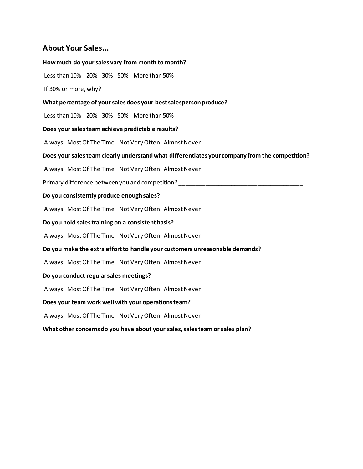### **About Your Sales...**

**How much do your sales vary from month to month?** Less than 10% 20% 30% 50% More than 50% If 30% or more, why? \_\_\_\_\_\_\_\_\_\_\_\_\_\_\_\_\_\_\_\_\_\_\_\_\_\_\_\_\_\_\_\_\_ **What percentage of your sales does your best salesperson produce?** Less than 10% 20% 30% 50% More than 50% **Does your sales team achieve predictable results?** Always Most Of The Time Not Very Often Almost Never **Does your sales team clearly understand what differentiates your company from the competition?** Always Most Of The Time Not Very Often Almost Never Primary difference between you and competition? **Do you consistently produce enough sales?** Always Most Of The Time Not Very Often Almost Never **Do you hold sales training on a consistent basis?** Always Most Of The Time Not Very Often Almost Never **Do you make the extra effort to handle your customers unreasonable demands?** Always Most Of The Time Not Very Often Almost Never **Do you conduct regular sales meetings?** Always Most Of The Time Not Very Often Almost Never **Does your team work well with your operations team?** Always Most Of The Time Not Very Often Almost Never **What other concerns do you have about your sales, sales team or sales plan?**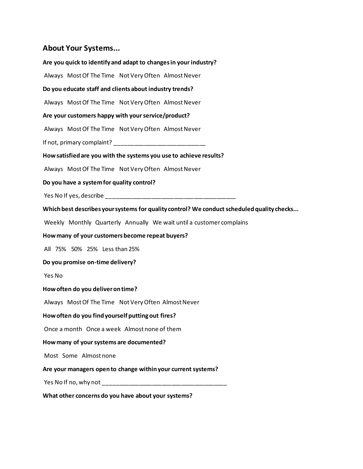### **About Your Systems...**

**Are you quick to identify and adapt to changes in your industry?** Always Most Of The Time Not Very Often Almost Never **Do you educate staff and clients about industry trends?** Always Most Of The Time Not Very Often Almost Never **Are your customers happy with your service/product?** Always Most Of The Time Not Very Often Almost Never If not, primary complaint? **How satisfied are you with the systems you use to achieve results?** Always Most Of The Time NotVery Often Almost Never **Do you have a system for quality control?** Yes No If yes, describe **Which best describes your systems for quality control? We conduct scheduled quality checks...** Weekly Monthly Quarterly Annually We wait until a customer complains **How many of your customers become repeat buyers?** All 75% 50% 25% Less than 25% **Do you promise on-time delivery?** Yes No **How often do you deliver on time?** Always Most Of The Time Not Very Often Almost Never **How often do you find yourself putting out fires?** Once a month Once a week Almost none of them **How many of your systems are documented?** Most Some Almost none **Are your managers open to change within your current systems?** Yes No If no, why not \_\_\_\_\_\_\_\_\_\_\_\_\_\_\_\_\_\_\_\_\_\_\_\_\_\_\_\_\_\_\_\_\_\_\_\_\_\_ **What other concerns do you have about your systems?**